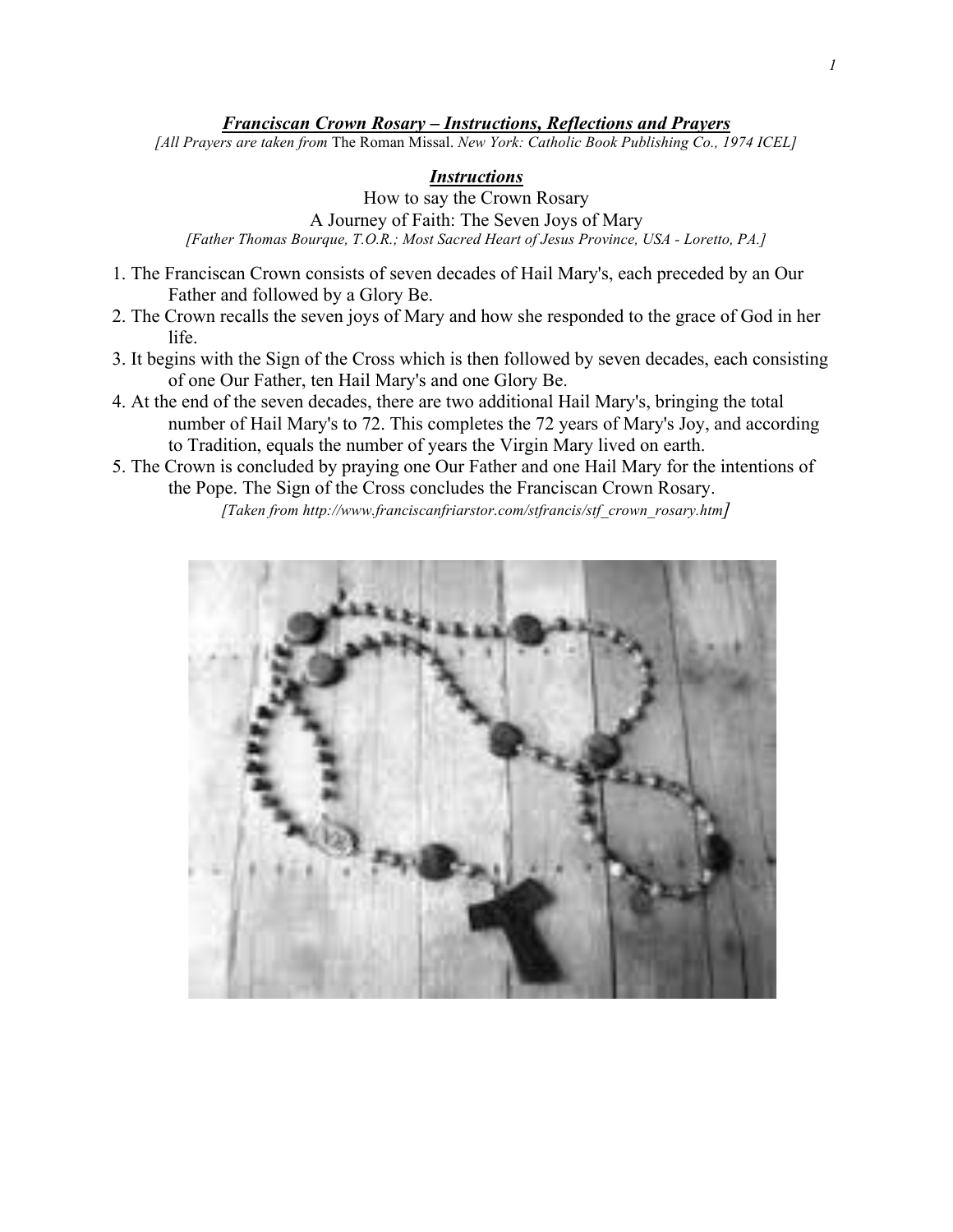#### *Franciscan Crown Rosary – Instructions, Reflections and Prayers*

*[All Prayers are taken from* The Roman Missal. *New York: Catholic Book Publishing Co., 1974 ICEL]*

### *Instructions*

How to say the Crown Rosary A Journey of Faith: The Seven Joys of Mary *[Father Thomas Bourque, T.O.R.; Most Sacred Heart of Jesus Province, USA - Loretto, PA.]*

- 1. The Franciscan Crown consists of seven decades of Hail Mary's, each preceded by an Our Father and followed by a Glory Be.
- 2. The Crown recalls the seven joys of Mary and how she responded to the grace of God in her life.
- 3. It begins with the Sign of the Cross which is then followed by seven decades, each consisting of one Our Father, ten Hail Mary's and one Glory Be.
- 4. At the end of the seven decades, there are two additional Hail Mary's, bringing the total number of Hail Mary's to 72. This completes the 72 years of Mary's Joy, and according to Tradition, equals the number of years the Virgin Mary lived on earth.
- 5. The Crown is concluded by praying one Our Father and one Hail Mary for the intentions of the Pope. The Sign of the Cross concludes the Franciscan Crown Rosary.

*[Taken from http://www.franciscanfriarstor.com/stfrancis/stf\_crown\_rosary.htm]*

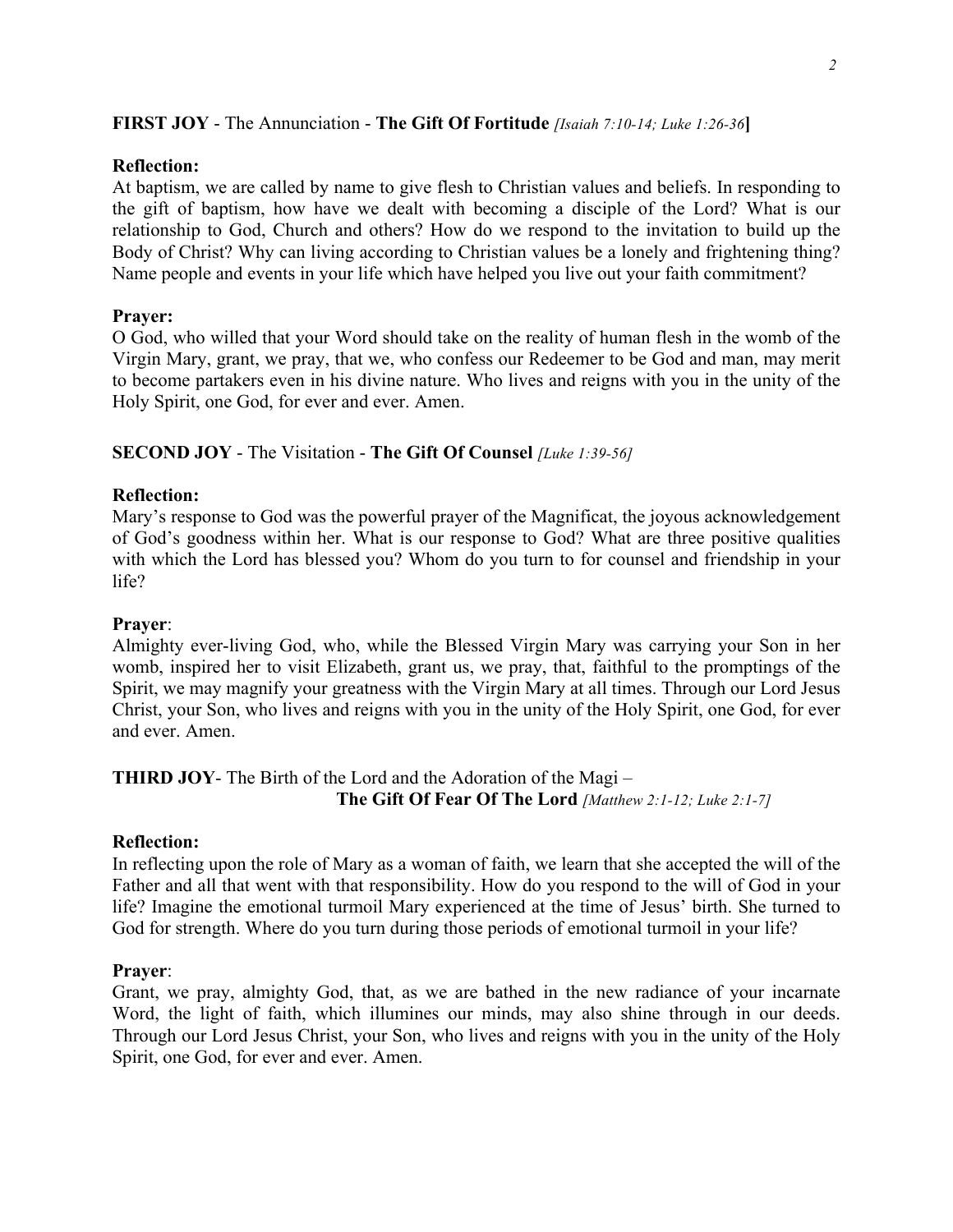# **FIRST JOY** - The Annunciation - **The Gift Of Fortitude** *[Isaiah 7:10-14; Luke 1:26-36***]**

### **Reflection:**

At baptism, we are called by name to give flesh to Christian values and beliefs. In responding to the gift of baptism, how have we dealt with becoming a disciple of the Lord? What is our relationship to God, Church and others? How do we respond to the invitation to build up the Body of Christ? Why can living according to Christian values be a lonely and frightening thing? Name people and events in your life which have helped you live out your faith commitment?

# **Prayer:**

O God, who willed that your Word should take on the reality of human flesh in the womb of the Virgin Mary, grant, we pray, that we, who confess our Redeemer to be God and man, may merit to become partakers even in his divine nature. Who lives and reigns with you in the unity of the Holy Spirit, one God, for ever and ever. Amen.

# **SECOND JOY** - The Visitation - **The Gift Of Counsel** *[Luke 1:39-56]*

# **Reflection:**

Mary's response to God was the powerful prayer of the Magnificat, the joyous acknowledgement of God's goodness within her. What is our response to God? What are three positive qualities with which the Lord has blessed you? Whom do you turn to for counsel and friendship in your life?

### **Prayer**:

Almighty ever-living God, who, while the Blessed Virgin Mary was carrying your Son in her womb, inspired her to visit Elizabeth, grant us, we pray, that, faithful to the promptings of the Spirit, we may magnify your greatness with the Virgin Mary at all times. Through our Lord Jesus Christ, your Son, who lives and reigns with you in the unity of the Holy Spirit, one God, for ever and ever. Amen.

# **THIRD JOY**- The Birth of the Lord and the Adoration of the Magi – **The Gift Of Fear Of The Lord** *[Matthew 2:1-12; Luke 2:1-7]*

### **Reflection:**

In reflecting upon the role of Mary as a woman of faith, we learn that she accepted the will of the Father and all that went with that responsibility. How do you respond to the will of God in your life? Imagine the emotional turmoil Mary experienced at the time of Jesus' birth. She turned to God for strength. Where do you turn during those periods of emotional turmoil in your life?

# **Prayer**:

Grant, we pray, almighty God, that, as we are bathed in the new radiance of your incarnate Word, the light of faith, which illumines our minds, may also shine through in our deeds. Through our Lord Jesus Christ, your Son, who lives and reigns with you in the unity of the Holy Spirit, one God, for ever and ever. Amen.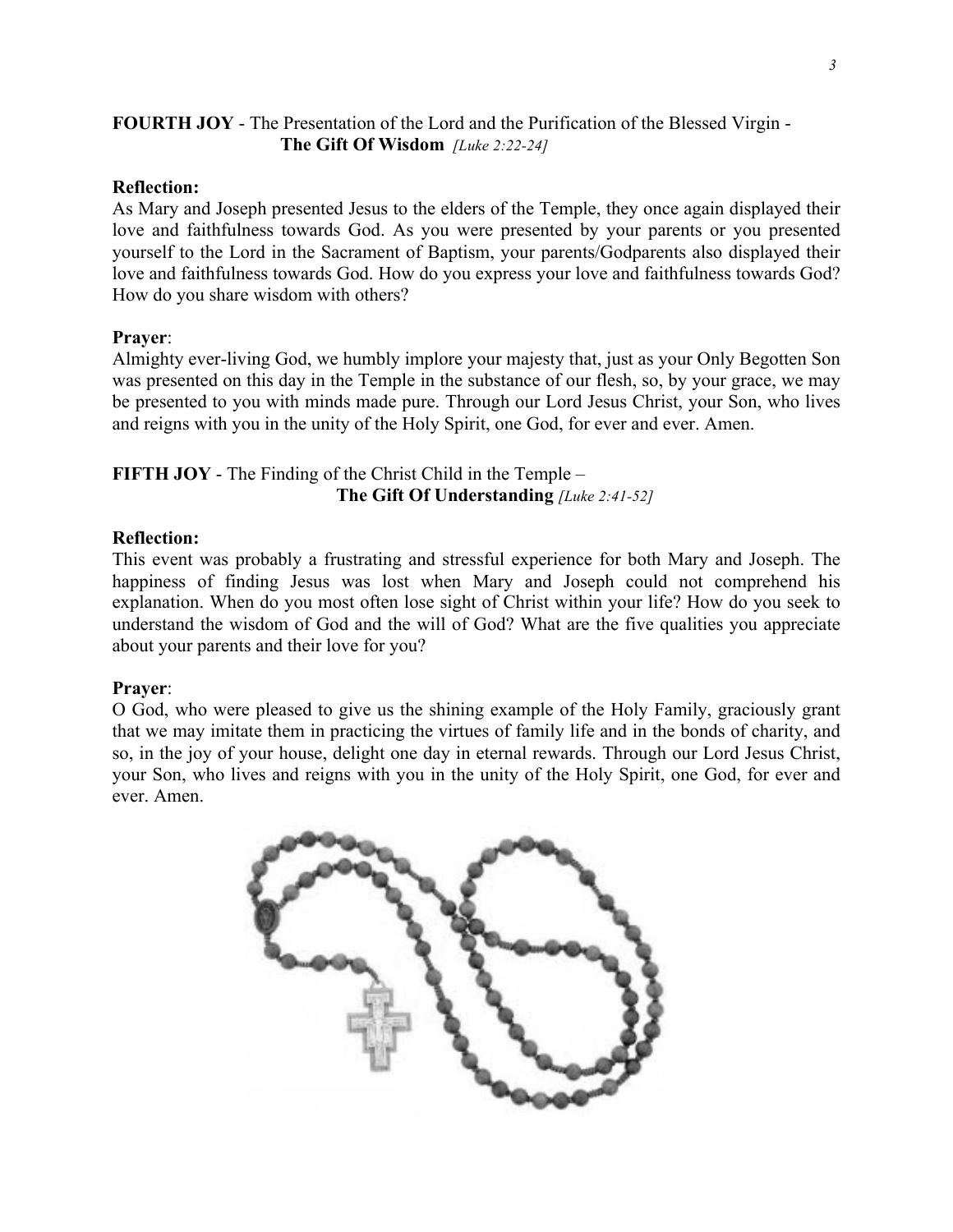# **FOURTH JOY** - The Presentation of the Lord and the Purification of the Blessed Virgin - **The Gift Of Wisdom** *[Luke 2:22-24]*

# **Reflection:**

As Mary and Joseph presented Jesus to the elders of the Temple, they once again displayed their love and faithfulness towards God. As you were presented by your parents or you presented yourself to the Lord in the Sacrament of Baptism, your parents/Godparents also displayed their love and faithfulness towards God. How do you express your love and faithfulness towards God? How do you share wisdom with others?

# **Prayer**:

Almighty ever-living God, we humbly implore your majesty that, just as your Only Begotten Son was presented on this day in the Temple in the substance of our flesh, so, by your grace, we may be presented to you with minds made pure. Through our Lord Jesus Christ, your Son, who lives and reigns with you in the unity of the Holy Spirit, one God, for ever and ever. Amen.

# **FIFTH JOY** - The Finding of the Christ Child in the Temple – **The Gift Of Understanding** *[Luke 2:41-52]*

# **Reflection:**

This event was probably a frustrating and stressful experience for both Mary and Joseph. The happiness of finding Jesus was lost when Mary and Joseph could not comprehend his explanation. When do you most often lose sight of Christ within your life? How do you seek to understand the wisdom of God and the will of God? What are the five qualities you appreciate about your parents and their love for you?

### **Prayer**:

O God, who were pleased to give us the shining example of the Holy Family, graciously grant that we may imitate them in practicing the virtues of family life and in the bonds of charity, and so, in the joy of your house, delight one day in eternal rewards. Through our Lord Jesus Christ, your Son, who lives and reigns with you in the unity of the Holy Spirit, one God, for ever and ever. Amen.